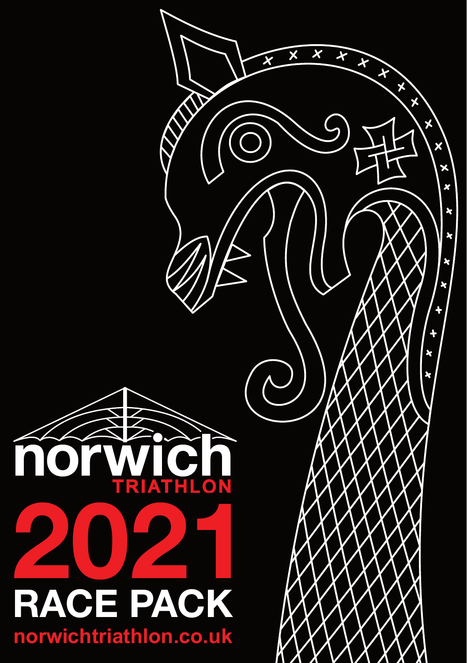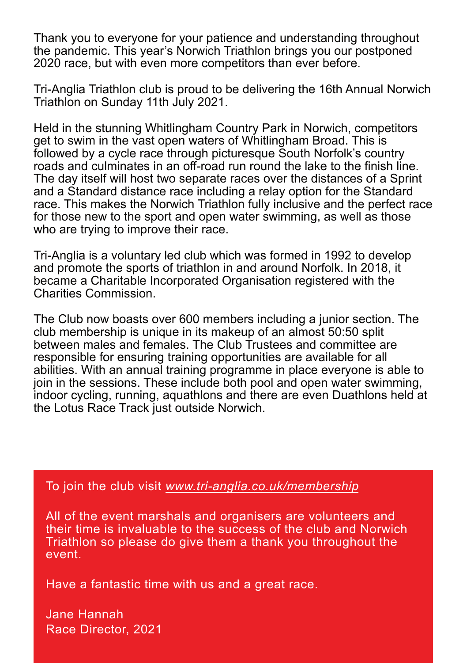Thank you to everyone for your patience and understanding throughout the pandemic. This year's Norwich Triathlon brings you our postponed 2020 race, but with even more competitors than ever before.

Tri-Anglia Triathlon club is proud to be delivering the 16th Annual Norwich Triathlon on Sunday 11th July 2021.

Held in the stunning Whitlingham Country Park in Norwich, competitors get to swim in the vast open waters of Whitlingham Broad. This is followed by a cycle race through picturesque South Norfolk's country roads and culminates in an off-road run round the lake to the finish line. The day itself will host two separate races over the distances of a Sprint and a Standard distance race including a relay option for the Standard race. This makes the Norwich Triathlon fully inclusive and the perfect race for those new to the sport and open water swimming, as well as those who are trying to improve their race.

Tri-Anglia is a voluntary led club which was formed in 1992 to develop and promote the sports of triathlon in and around Norfolk. In 2018, it became a Charitable Incorporated Organisation registered with the Charities Commission.

The Club now boasts over 600 members including a junior section. The club membership is unique in its makeup of an almost 50:50 split between males and females. The Club Trustees and committee are responsible for ensuring training opportunities are available for all abilities. With an annual training programme in place everyone is able to join in the sessions. These include both pool and open water swimming, indoor cycling, running, aquathlons and there are even Duathlons held at the Lotus Race Track just outside Norwich.

To join the club visit *[www.tri-anglia.co.uk/membership](https://www.tri-anglia.co.uk/membership)*

All of the event marshals and organisers are volunteers and their time is invaluable to the success of the club and Norwich Triathlon so please do give them a thank you throughout the event.

Have a fantastic time with us and a great race.

Jane Hannah Race Director, 2021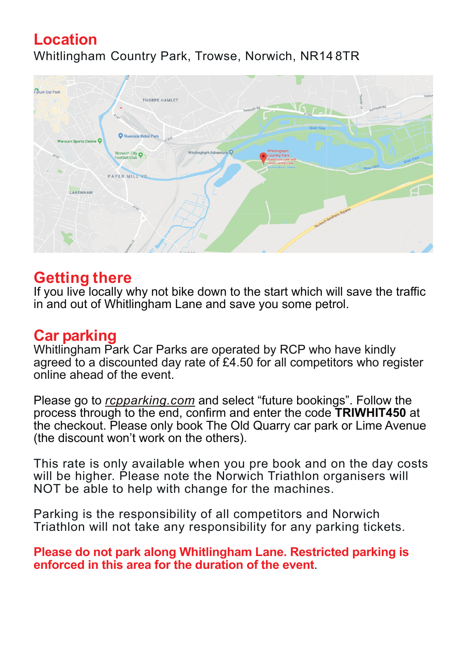### **Location** Whitlingham Country Park, Trowse, Norwich, NR14 8TR



#### **Getting there**

If you live locally why not bike down to the start which will save the traffic in and out of Whitlingham Lane and save you some petrol.

#### **Car parking**

Whitlingham Park Car Parks are operated by RCP who have kindly agreed to a discounted day rate of £4.50 for all competitors who register online ahead of the event.

Please go to *[rcpparking.com](https://rcpparking.com)* and select "future bookings". Follow the process through to the end, confirm and enter the code **TRIWHIT450** at the checkout. Please only book The Old Quarry car park or Lime Avenue (the discount won't work on the others).

This rate is only available when you pre book and on the day costs will be higher. Please note the Norwich Triathlon organisers will NOT be able to help with change for the machines.

Parking is the responsibility of all competitors and Norwich Triathlon will not take any responsibility for any parking tickets.

**Please do not park along Whitlingham Lane. Restricted parking is enforced in this area for the duration of the event**.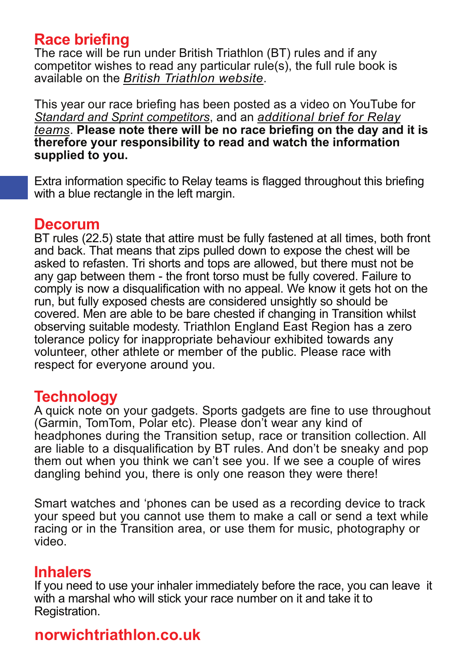### **Race briefing**

The race will be run under British Triathlon (BT) rules and if any competitor wishes to read any particular rule(s), the full rule book is available on the *[British Triathlon website](https://www.britishtriathlon.org/competitionrules)*.

This year our race briefing has been posted as a video on YouTube for *[Standard and Sprint competitors](https://www.youtube.com/watch?v=T0820w4CH8I)*, and an *[additional brief for Relay](https://www.youtube.com/watch?v=aZaXM5wOPIs) [teams](https://www.youtube.com/watch?v=aZaXM5wOPIs)*. **Please note there will be no race briefing on the day and it is therefore your responsibility to read and watch the information supplied to you.**

Extra information specific to Relay teams is flagged throughout this briefing with a blue rectangle in the left margin.

#### **Decorum**

BT rules (22.5) state that attire must be fully fastened at all times, both front and back. That means that zips pulled down to expose the chest will be asked to refasten. Tri shorts and tops are allowed, but there must not be any gap between them - the front torso must be fully covered. Failure to comply is now a disqualification with no appeal. We know it gets hot on the run, but fully exposed chests are considered unsightly so should be covered. Men are able to be bare chested if changing in Transition whilst observing suitable modesty. Triathlon England East Region has a zero tolerance policy for inappropriate behaviour exhibited towards any volunteer, other athlete or member of the public. Please race with respect for everyone around you.

#### **Technology**

A quick note on your gadgets. Sports gadgets are fine to use throughout (Garmin, TomTom, Polar etc). Please don't wear any kind of headphones during the Transition setup, race or transition collection. All are liable to a disqualification by BT rules. And don't be sneaky and pop them out when you think we can't see you. If we see a couple of wires dangling behind you, there is only one reason they were there!

Smart watches and 'phones can be used as a recording device to track your speed but you cannot use them to make a call or send a text while racing or in the Transition area, or use them for music, photography or video.

#### **Inhalers**

If you need to use your inhaler immediately before the race, you can leave it with a marshal who will stick your race number on it and take it to Registration.

### **norwichtriathlon.co.uk**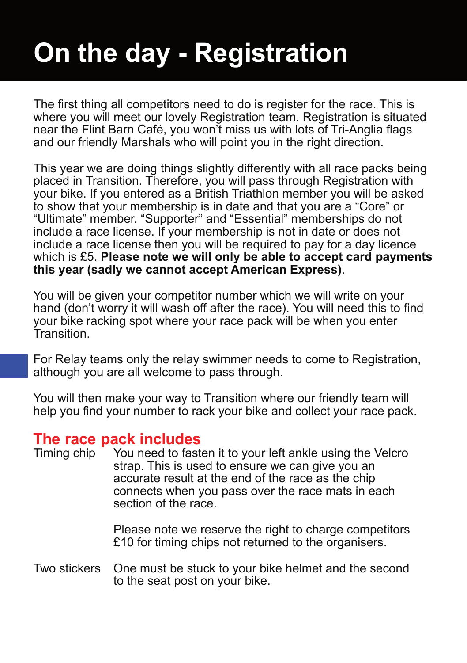# **On the day - Registration**

The first thing all competitors need to do is register for the race. This is where you will meet our lovely Registration team. Registration is situated near the Flint Barn Café, you won't miss us with lots of Tri-Anglia flags and our friendly Marshals who will point you in the right direction.

This year we are doing things slightly differently with all race packs being placed in Transition. Therefore, you will pass through Registration with your bike. If you entered as a British Triathlon member you will be asked to show that your membership is in date and that you are a "Core" or "Ultimate" member. "Supporter" and "Essential" memberships do not include a race license. If your membership is not in date or does not include a race license then you will be required to pay for a day licence which is £5. **Please note we will only be able to accept card payments this year (sadly we cannot accept American Express)**.

You will be given your competitor number which we will write on your hand (don't worry it will wash off after the race). You will need this to find your bike racking spot where your race pack will be when you enter Transition.

For Relay teams only the relay swimmer needs to come to Registration, although you are all welcome to pass through.

You will then make your way to Transition where our friendly team will help you find your number to rack your bike and collect your race pack.

# **The race pack includes**<br>Timing chip You need to fast

You need to fasten it to your left ankle using the Velcro strap. This is used to ensure we can give you an accurate result at the end of the race as the chip connects when you pass over the race mats in each section of the race.

> Please note we reserve the right to charge competitors £10 for timing chips not returned to the organisers.

Two stickers One must be stuck to your bike helmet and the second to the seat post on your bike.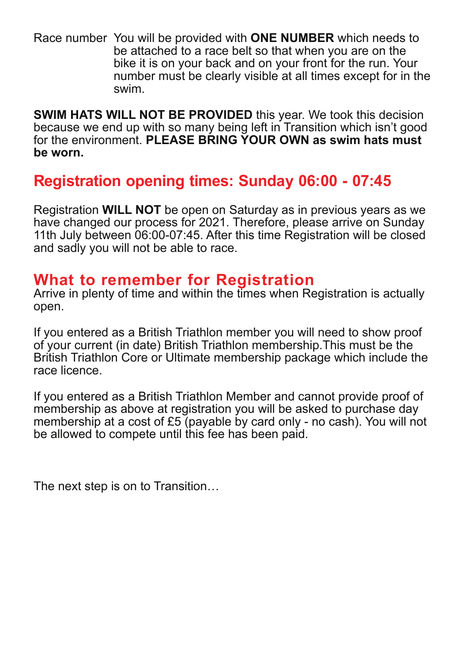Race number You will be provided with **ONE NUMBER** which needs to be attached to a race belt so that when you are on the bike it is on your back and on your front for the run. Your number must be clearly visible at all times except for in the swim.

**SWIM HATS WILL NOT BE PROVIDED** this year. We took this decision because we end up with so many being left in Transition which isn't good for the environment. **PLEASE BRING YOUR OWN as swim hats must be worn.**

### **Registration opening times: Sunday 06:00 - 07:45**

Registration **WILL NOT** be open on Saturday as in previous years as we have changed our process for 2021. Therefore, please arrive on Sunday 11th July between 06:00-07:45. After this time Registration will be closed and sadly you will not be able to race.

#### **What to remember for Registration**

Arrive in plenty of time and within the times when Registration is actually open.

If you entered as a British Triathlon member you will need to show proof of your current (in date) British Triathlon membership.This must be the British Triathlon Core or Ultimate membership package which include the race licence.

If you entered as a British Triathlon Member and cannot provide proof of membership as above at registration you will be asked to purchase day membership at a cost of £5 (payable by card only - no cash). You will not be allowed to compete until this fee has been paid.

The next step is on to Transition…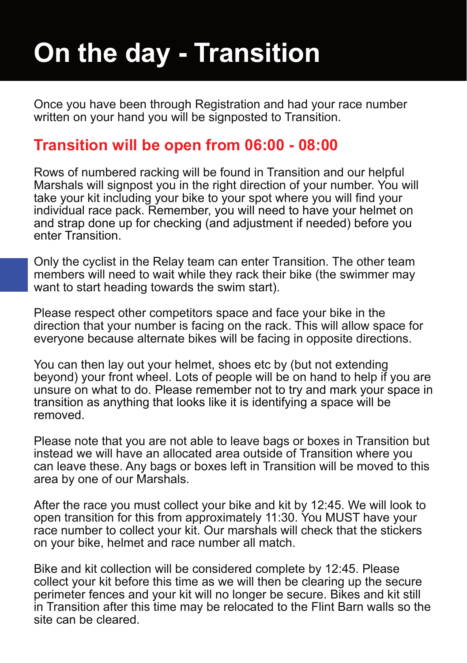# **On the day - Transition**

Once you have been through Registration and had your race number written on your hand you will be signposted to Transition.

### **Transition will be open from 06:00 - 08:00**

Rows of numbered racking will be found in Transition and our helpful Marshals will signpost you in the right direction of your number. You will take your kit including your bike to your spot where you will find your individual race pack. Remember, you will need to have your helmet on and strap done up for checking (and adjustment if needed) before you enter Transition.

Only the cyclist in the Relay team can enter Transition. The other team members will need to wait while they rack their bike (the swimmer may want to start heading towards the swim start).

Please respect other competitors space and face your bike in the direction that your number is facing on the rack. This will allow space for everyone because alternate bikes will be facing in opposite directions.

You can then lay out your helmet, shoes etc by (but not extending beyond) your front wheel. Lots of people will be on hand to help if you are unsure on what to do. Please remember not to try and mark your space in transition as anything that looks like it is identifying a space will be removed.

Please note that you are not able to leave bags or boxes in Transition but instead we will have an allocated area outside of Transition where you can leave these. Any bags or boxes left in Transition will be moved to this area by one of our Marshals.

After the race you must collect your bike and kit by 12:45. We will look to open transition for this from approximately 11:30. You MUST have your race number to collect your kit. Our marshals will check that the stickers on your bike, helmet and race number all match.

Bike and kit collection will be considered complete by 12:45. Please collect your kit before this time as we will then be clearing up the secure perimeter fences and your kit will no longer be secure. Bikes and kit still in Transition after this time may be relocated to the Flint Barn walls so the site can be cleared.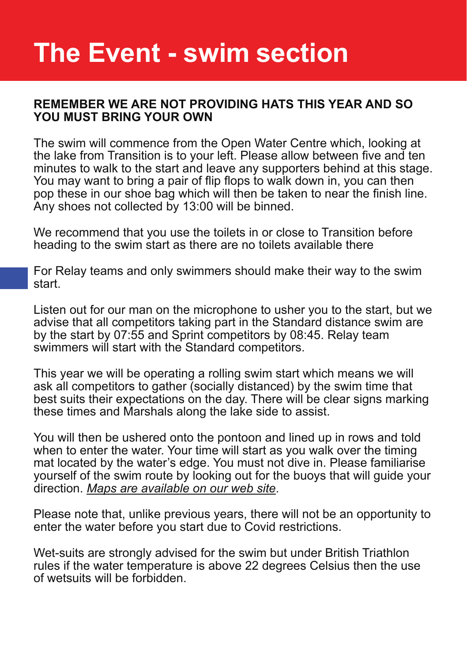# **The Event - swim section**

#### **REMEMBER WE ARE NOT PROVIDING HATS THIS YEAR AND SO YOU MUST BRING YOUR OWN**

The swim will commence from the Open Water Centre which, looking at the lake from Transition is to your left. Please allow between five and ten minutes to walk to the start and leave any supporters behind at this stage. You may want to bring a pair of flip flops to walk down in, you can then pop these in our shoe bag which will then be taken to near the finish line. Any shoes not collected by 13:00 will be binned.

We recommend that you use the toilets in or close to Transition before heading to the swim start as there are no toilets available there

For Relay teams and only swimmers should make their way to the swim start.

Listen out for our man on the microphone to usher you to the start, but we advise that all competitors taking part in the Standard distance swim are by the start by 07:55 and Sprint competitors by 08:45. Relay team swimmers will start with the Standard competitors.

This year we will be operating a rolling swim start which means we will ask all competitors to gather (socially distanced) by the swim time that best suits their expectations on the day. There will be clear signs marking these times and Marshals along the lake side to assist.

You will then be ushered onto the pontoon and lined up in rows and told when to enter the water. Your time will start as you walk over the timing mat located by the water's edge. You must not dive in. Please familiarise yourself of the swim route by looking out for the buoys that will guide your direction. *[Maps are available on our web site](https://www.norwichtriathlon.co.uk)*.

Please note that, unlike previous years, there will not be an opportunity to enter the water before you start due to Covid restrictions.

Wet-suits are strongly advised for the swim but under British Triathlon rules if the water temperature is above 22 degrees Celsius then the use of wetsuits will be forbidden.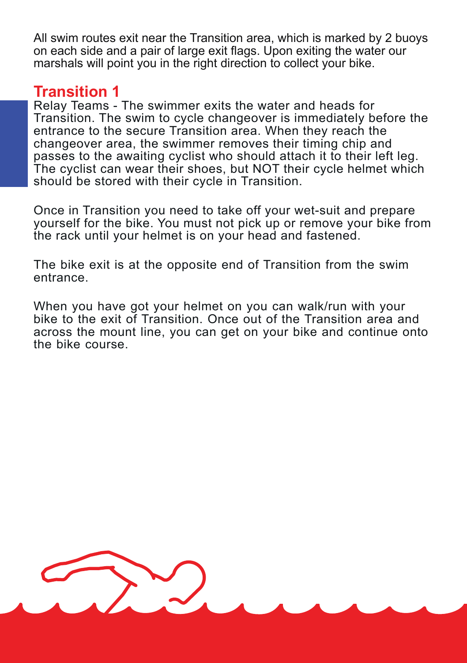All swim routes exit near the Transition area, which is marked by 2 buoys on each side and a pair of large exit flags. Upon exiting the water our marshals will point you in the right direction to collect your bike.

#### **Transition 1**

Relay Teams - The swimmer exits the water and heads for Transition. The swim to cycle changeover is immediately before the entrance to the secure Transition area. When they reach the changeover area, the swimmer removes their timing chip and passes to the awaiting cyclist who should attach it to their left leg. The cyclist can wear their shoes, but NOT their cycle helmet which should be stored with their cycle in Transition.

Once in Transition you need to take off your wet-suit and prepare yourself for the bike. You must not pick up or remove your bike from the rack until your helmet is on your head and fastened.

The bike exit is at the opposite end of Transition from the swim entrance.

When you have got your helmet on you can walk/run with your bike to the exit of Transition. Once out of the Transition area and across the mount line, you can get on your bike and continue onto the bike course.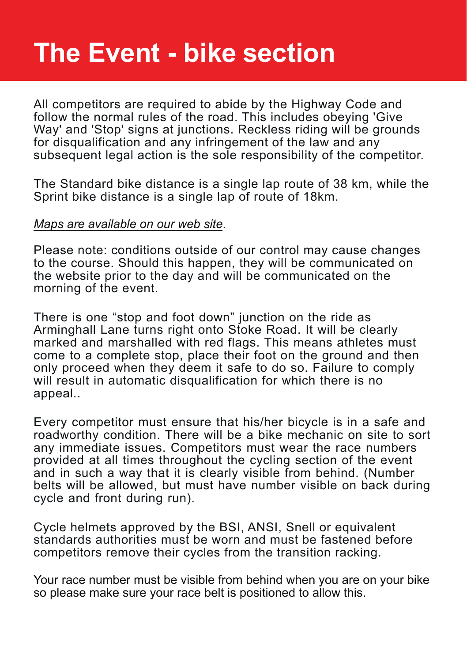# **The Event - bike section**

All competitors are required to abide by the Highway Code and follow the normal rules of the road. This includes obeying 'Give Way' and 'Stop' signs at junctions. Reckless riding will be grounds for disqualification and any infringement of the law and any subsequent legal action is the sole responsibility of the competitor.

The Standard bike distance is a single lap route of 38 km, while the Sprint bike distance is a single lap of route of 18km.

#### *[Maps are available on our web site](https://www.norwichtriathlon.co.uk)*.

Please note: conditions outside of our control may cause changes to the course. Should this happen, they will be communicated on the website prior to the day and will be communicated on the morning of the event.

There is one "stop and foot down" junction on the ride as Arminghall Lane turns right onto Stoke Road. It will be clearly marked and marshalled with red flags. This means athletes must come to a complete stop, place their foot on the ground and then only proceed when they deem it safe to do so. Failure to comply will result in automatic disqualification for which there is no appeal..

Every competitor must ensure that his/her bicycle is in a safe and roadworthy condition. There will be a bike mechanic on site to sort any immediate issues. Competitors must wear the race numbers provided at all times throughout the cycling section of the event and in such a way that it is clearly visible from behind. (Number belts will be allowed, but must have number visible on back during cycle and front during run).

Cycle helmets approved by the BSI, ANSI, Snell or equivalent standards authorities must be worn and must be fastened before competitors remove their cycles from the transition racking.

Your race number must be visible from behind when you are on your bike so please make sure your race belt is positioned to allow this.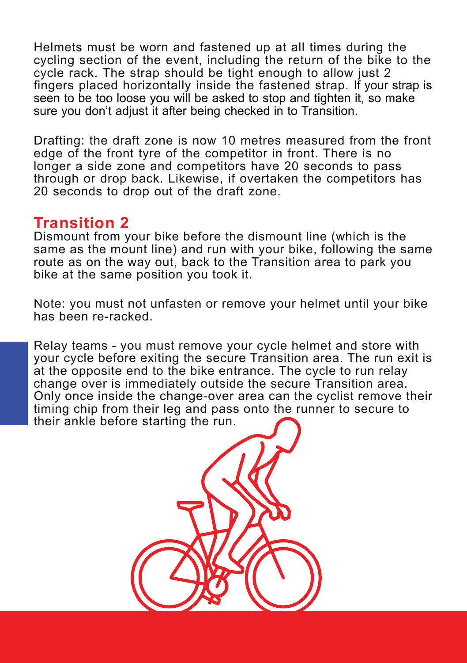Helmets must be worn and fastened up at all times during the cycling section of the event, including the return of the bike to the cycle rack. The strap should be tight enough to allow just 2 fingers placed horizontally inside the fastened strap. If your strap is seen to be too loose you will be asked to stop and tighten it, so make sure you don't adjust it after being checked in to Transition.

Drafting: the draft zone is now 10 metres measured from the front edge of the front tyre of the competitor in front. There is no longer a side zone and competitors have 20 seconds to pass through or drop back. Likewise, if overtaken the competitors has 20 seconds to drop out of the draft zone.

#### **Transition 2**

Dismount from your bike before the dismount line (which is the same as the mount line) and run with your bike, following the same route as on the way out, back to the Transition area to park you bike at the same position you took it.

Note: you must not unfasten or remove your helmet until your bike has been re-racked.

Relay teams - you must remove your cycle helmet and store with your cycle before exiting the secure Transition area. The run exit is at the opposite end to the bike entrance. The cycle to run relay change over is immediately outside the secure Transition area. Only once inside the change-over area can the cyclist remove their timing chip from their leg and pass onto the runner to secure to their ankle before starting the run.

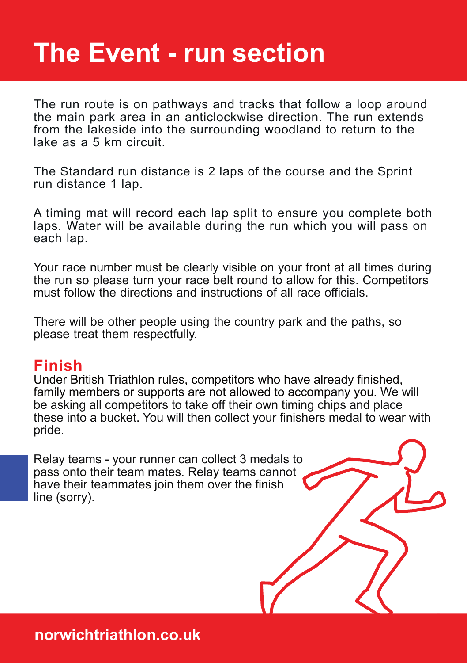# **The Event - run section**

The run route is on pathways and tracks that follow a loop around the main park area in an anticlockwise direction. The run extends from the lakeside into the surrounding woodland to return to the lake as a 5 km circuit.

The Standard run distance is 2 laps of the course and the Sprint run distance 1 lap.

A timing mat will record each lap split to ensure you complete both laps. Water will be available during the run which you will pass on each lap.

Your race number must be clearly visible on your front at all times during the run so please turn your race belt round to allow for this. Competitors must follow the directions and instructions of all race officials.

There will be other people using the country park and the paths, so please treat them respectfully.

#### **Finish**

Under British Triathlon rules, competitors who have already finished, family members or supports are not allowed to accompany you. We will be asking all competitors to take off their own timing chips and place these into a bucket. You will then collect your finishers medal to wear with pride.

Relay teams - your runner can collect 3 medals to pass onto their team mates. Relay teams cannot have their teammates join them over the finish line (sorry).

**norwichtriathlon.co.uk**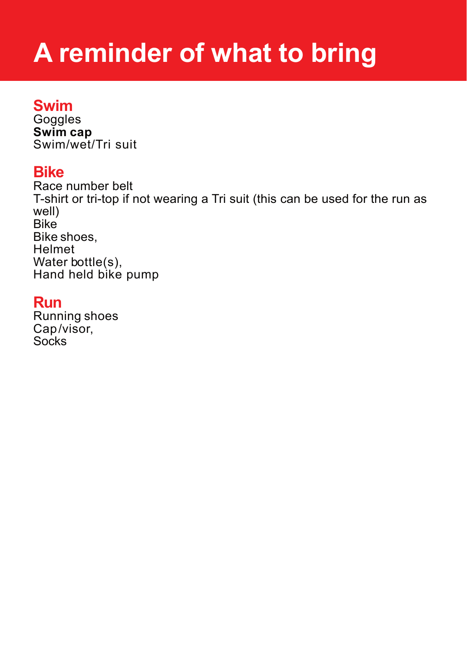# **A reminder of what to bring**

#### **Swim**

**Goggles Swim cap** Swim/wet/Tri suit

#### **Bike**

Race number belt T-shirt or tri-top if not wearing a Tri suit (this can be used for the run as well) Bike Bike shoes, Helmet Water bottle(s), Hand held bike pump

#### **Run**

Running shoes Cap/visor, Socks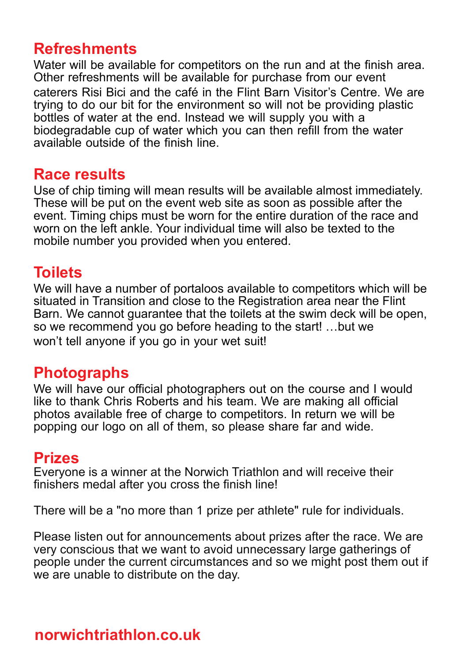### **Refreshments**

Water will be available for competitors on the run and at the finish area. Other refreshments will be available for purchase from our event caterers Risi Bici and the café in the Flint Barn Visitor's Centre. We are trying to do our bit for the environment so will not be providing plastic bottles of water at the end. Instead we will supply you with a biodegradable cup of water which you can then refill from the water available outside of the finish line.

#### **Race results**

Use of chip timing will mean results will be available almost immediately. These will be put on the event web site as soon as possible after the event. Timing chips must be worn for the entire duration of the race and worn on the left ankle. Your individual time will also be texted to the mobile number you provided when you entered.

### **Toilets**

We will have a number of portaloos available to competitors which will be situated in Transition and close to the Registration area near the Flint Barn. We cannot guarantee that the toilets at the swim deck will be open, so we recommend you go before heading to the start! …but we won't tell anyone if you go in your wet suit!

### **Photographs**

We will have our official photographers out on the course and I would like to thank Chris Roberts and his team. We are making all official photos available free of charge to competitors. In return we will be popping our logo on all of them, so please share far and wide.

#### **Prizes**

Everyone is a winner at the Norwich Triathlon and will receive their finishers medal after you cross the finish line!

There will be a "no more than 1 prize per athlete" rule for individuals.

Please listen out for announcements about prizes after the race. We are very conscious that we want to avoid unnecessary large gatherings of people under the current circumstances and so we might post them out if we are unable to distribute on the day.

### **norwichtriathlon.co.uk**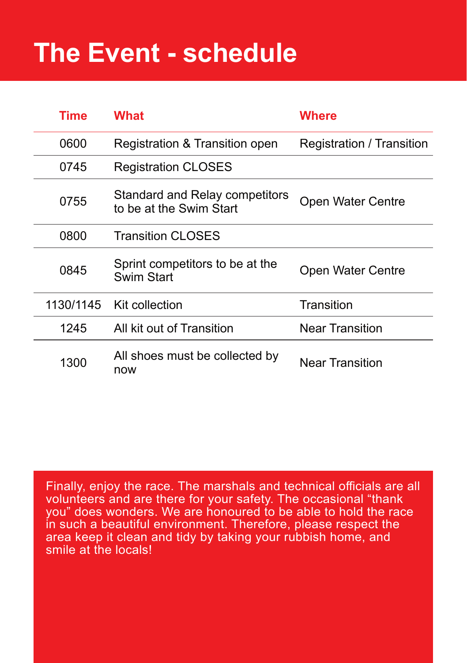# **The Event - schedule**

| Time      | <b>What</b>                                               | Where                     |
|-----------|-----------------------------------------------------------|---------------------------|
| 0600      | Registration & Transition open                            | Registration / Transition |
| 0745      | <b>Registration CLOSES</b>                                |                           |
| 0755      | Standard and Relay competitors<br>to be at the Swim Start | Open Water Centre         |
| 0800      | <b>Transition CLOSES</b>                                  |                           |
| 0845      | Sprint competitors to be at the<br><b>Swim Start</b>      | Open Water Centre         |
| 1130/1145 | Kit collection                                            | Transition                |
| 1245      | All kit out of Transition                                 | Near Transition           |
| 1300      | All shoes must be collected by<br>now                     | Near Transition           |

Finally, enjoy the race. The marshals and technical officials are all volunteers and are there for your safety. The occasional "thank you" does wonders. We are honoured to be able to hold the race in such a beautiful environment. Therefore, please respect the area keep it clean and tidy by taking your rubbish home, and smile at the locals!